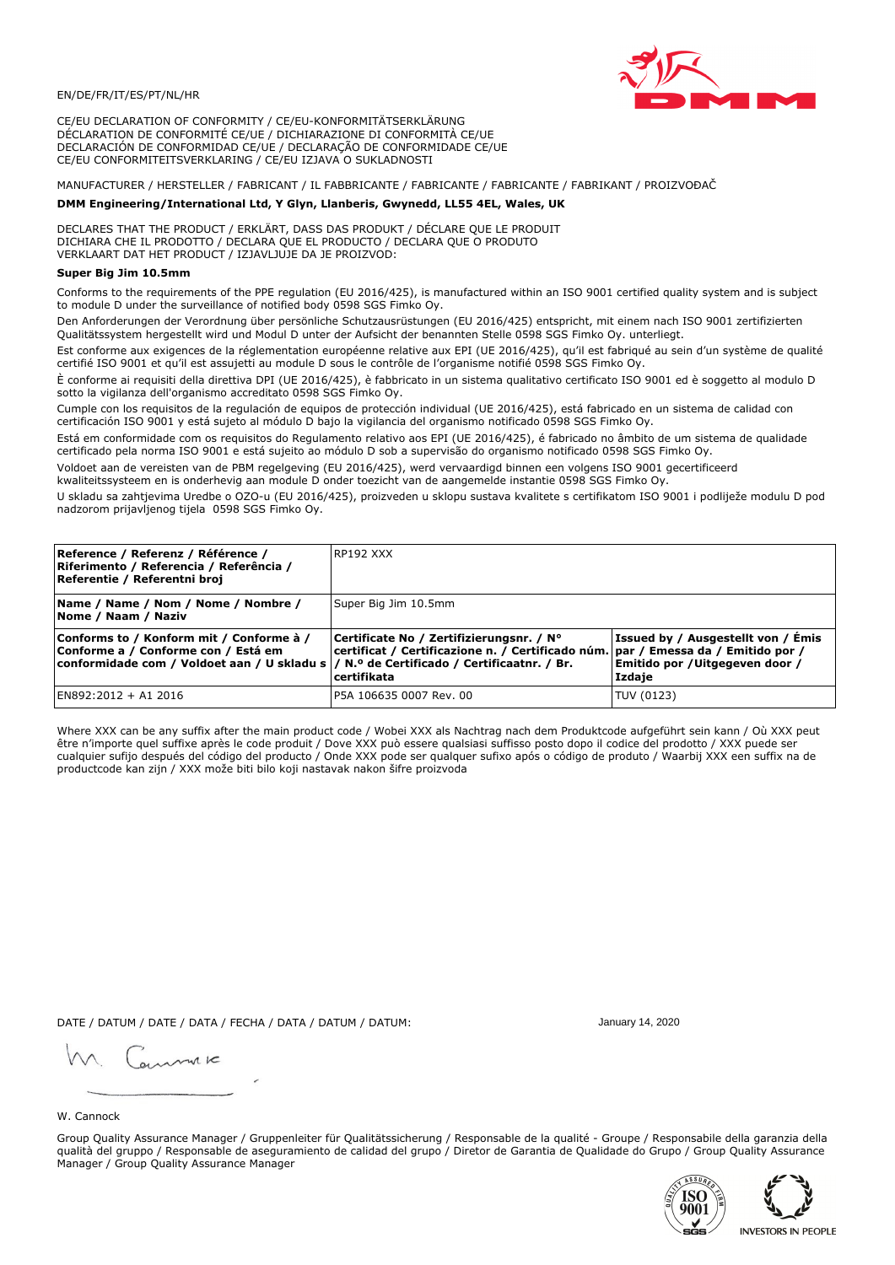

CE/EU DECLARATION OF CONFORMITY / CE/EU-KONFORMITÄTSERKLÄRUNG DÉCLARATION DE CONFORMITÉ CE/UE / DICHIARAZIONE DI CONFORMITÀ CE/UE DECLARACIÓN DE CONFORMIDAD CE/UE / DECLARAÇÃO DE CONFORMIDADE CE/UE CE/EU CONFORMITEITSVERKLARING / CE/EU IZJAVA O SUKLADNOSTI

# MANUFACTURER / HERSTELLER / FABRICANT / IL FABBRICANTE / FABRICANTE / FABRICANTE / FABRIKANT / PROIZVOĐAČ

## DMM Engineering/International Ltd, Y Glyn, Llanberis, Gwynedd, LL55 4EL, Wales, UK

DECLARES THAT THE PRODUCT / ERKLÄRT, DASS DAS PRODUKT / DÉCLARE QUE LE PRODUIT<br>DICHIARA CHE IL PRODOTTO / DECLARA QUE EL PRODUCTO / DECLARA QUE O PRODUTO VERKLAART DAT HET PRODUCT / IZJAVLJUJE DA JE PROIZVOD:

# Super Big Jim 10.5mm

Conforms to the requirements of the PPE regulation (EU 2016/425), is manufactured within an ISO 9001 certified quality system and is subject to module D under the surveillance of notified body 0598 SGS Fimko Oy.

Den Anforderungen der Verordnung über persönliche Schutzausrüstungen (EU 2016/425) entspricht, mit einem nach ISO 9001 zertifizierten Oualitätssystem hergestellt wird und Modul D unter der Aufsicht der benannten Stelle 0598 SGS Fimko Oy. unterliegt.

Est conforme aux exigences de la réglementation européenne relative aux EPI (UE 2016/425), qu'il est fabriqué au sein d'un système de qualité certifié ISO 9001 et qu'il est assujetti au module D sous le contrôle de l'organisme notifié 0598 SGS Fimko Oy.

È conforme ai requisiti della direttiva DPI (UE 2016/425), è fabbricato in un sistema qualitativo certificato ISO 9001 ed è soggetto al modulo D sotto la vigilanza dell'organismo accreditato 0598 SGS Fimko Oy.

Cumple con los requisitos de la regulación de equipos de protección individual (UE 2016/425), está fabricado en un sistema de calidad con certificación ISO 9001 y está sujeto al módulo D bajo la vigilancia del organismo notificado 0598 SGS Fimko Oy.

Está em conformidade com os requisitos do Regulamento relativo aos EPI (UE 2016/425), é fabricado no âmbito de um sistema de qualidade certificado pela norma ISO 9001 e está sujeito ao módulo D sob a supervisão do organismo notificado 0598 SGS Fimko Oy.

Voldoet aan de vereisten van de PBM regelgeving (EU 2016/425), werd vervaardigd binnen een volgens ISO 9001 gecertificeerd kwaliteitssysteem en is onderhevig aan module D onder toezicht van de aangemelde instantie 0598 SGS Fimko Oy.

U skladu sa zahtjevima Uredbe o OZO-u (EU 2016/425), proizveden u sklopu sustava kvalitete s certifikatom ISO 9001 i podliježe modulu D pod nadzorom prijavljenog tijela 0598 SGS Fimko Oy.

| Reference / Referenz / Référence /<br>Riferimento / Referencia / Referência /<br>Referentie / Referentni broj                                                              | RP192 XXX                                                                                                                                        |                                                                                 |
|----------------------------------------------------------------------------------------------------------------------------------------------------------------------------|--------------------------------------------------------------------------------------------------------------------------------------------------|---------------------------------------------------------------------------------|
| Name / Name / Nom / Nome / Nombre /<br>Nome / Naam / Naziv                                                                                                                 | Super Big Jim 10.5mm                                                                                                                             |                                                                                 |
| Conforms to / Konform mit / Conforme à /<br>Conforme a / Conforme con / Está em<br>conformidade com / Voldoet aan / U skladu s / N.º de Certificado / Certificaatnr. / Br. | Certificate No / Zertifizierungsnr. / N°<br>  certificat / Certificazione n. / Certificado núm.   par / Emessa da / Emitido por /<br>certifikata | Issued by / Ausgestellt von / Emis<br>Emitido por / Uitgegeven door /<br>Izdaje |
| EN892:2012 + A1 2016                                                                                                                                                       | IP5A 106635 0007 Rev. 00                                                                                                                         | TUV (0123)                                                                      |

Where XXX can be any suffix after the main product code / Wobei XXX als Nachtrag nach dem Produktcode aufgeführt sein kann / Où XXX peut être n'importe quel suffixe après le code produit / Dove XXX può essere qualsiasi suffisso posto dopo il codice del prodotto / XXX puede ser<br>cualquier sufijo después del código del producto / Onde XXX pode ser qualquer suf productcode kan zijn / XXX može biti bilo koji nastavak nakon šifre proizvoda

Group Quality Assurance Manager / Gruppenleiter für Qualitätssicherung / Responsable de la qualité - Groupe / Responsabile della garanzia della

DATE / DATUM / DATE / DATA / FECHA / DATA / DATUM / DATUM:

gimmic

Manager / Group Quality Assurance Manager

W. Cannock

January 14, 2020





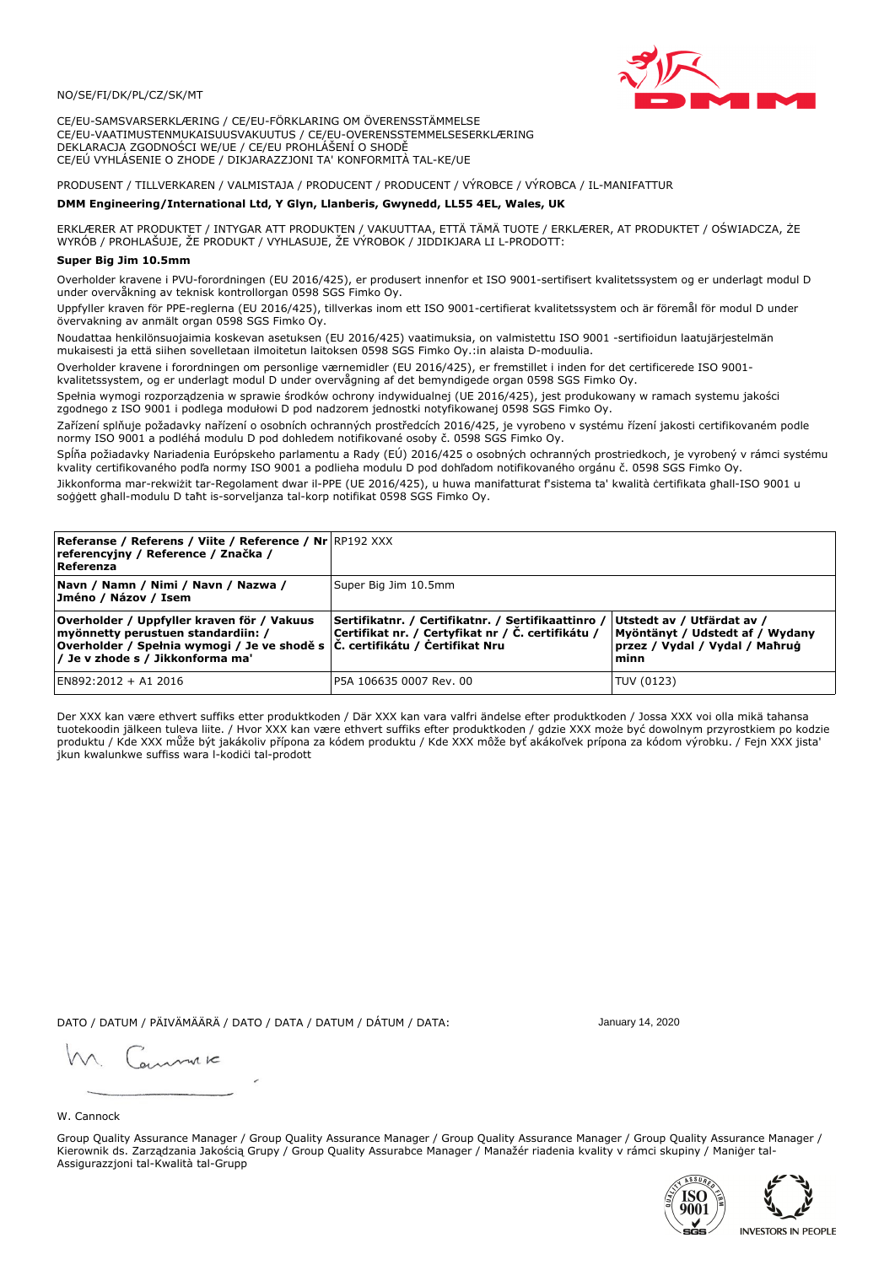

CE/EU-SAMSVARSERKLÆRING / CE/EU-FÖRKLARING OM ÖVERENSSTÄMMELSE CE/EU-VAATIMUSTENMUKAISUUSVAKUUTUS / CE/EU-OVERENSSTEMMELSESERKLÆRING DEKLARACJA ZGODNOŚCI WE/UE / CE/EU PROHLÁŠENÍ O SHODĚ CE/EÚ VYHLÁSENIE O ZHODE / DIKJARAZZJONI TA' KONFORMITÀ TAL-KE/UE

# PRODUSENT / TILLVERKAREN / VALMISTAJA / PRODUCENT / PRODUCENT / VÝROBCE / VÝROBCA / IL-MANIFATTUR

### DMM Engineering/International Ltd, Y Glyn, Llanberis, Gwynedd, LL55 4EL, Wales, UK

ERKLÆRER AT PRODUKTET / INTYGAR ATT PRODUKTEN / VAKUUTTAA, ETTÄ TÄMÄ TUOTE / ERKLÆRER, AT PRODUKTET / OŚWIADCZA, ŻE<br>WYRÓB / PROHLAŠUJE, ŽE PRODUKT / VYHLASUJE, ŽE VÝROBOK / JIDDIKJARA LI L-PRODOTT:

## Super Big Jim 10.5mm

Overholder kravene i PVU-forordningen (EU 2016/425), er produsert innenfor et ISO 9001-sertifisert kvalitetssystem og er underlagt modul D under overvåkning av teknisk kontrollorgan 0598 SGS Fimko Oy.

Uppfyller kraven för PPE-reglerna (EU 2016/425), tillverkas inom ett ISO 9001-certifierat kvalitetssystem och är föremål för modul D under övervakning av anmält organ 0598 SGS Fimko Oy.

Noudattaa henkilönsuojaimia koskevan asetuksen (EU 2016/425) vaatimuksia, on valmistettu ISO 9001 -sertifioidun laatujärjestelmän mukaisesti ja että siihen sovelletaan ilmoitetun laitoksen 0598 SGS Fimko Oy.:in alaista D-moduulia.

Overholder kravene i forordningen om personlige værnemidler (EU 2016/425), er fremstillet i inden for det certificerede ISO 9001kvalitetssystem, og er underlagt modul D under overvågning af det bemyndigede organ 0598 SGS Fimko Oy.

Spełnia wymogi rozporządzenia w sprawie środków ochrony indywidualnej (UE 2016/425), jest produkowany w ramach systemu jakości zgodnego z ISO 9001 i podlega modułowi D pod nadzorem jednostki notyfikowanej 0598 SGS Fimko Oy.

Zařízení splňuje požadavky nařízení o osobních ochranných prostředcích 2016/425, je vyrobeno v systému řízení jakosti certifikovaném podle normy ISO 9001 a podléhá modulu D pod dohledem notifikované osoby č. 0598 SGS Fimko Oy.

Spĺňa požiadavky Nariadenia Európskeho parlamentu a Rady (EÚ) 2016/425 o osobných ochranných prostriedkoch, je vyrobený v rámci systému kvality certifikovaného podľa normy ISO 9001 a podlieha modulu D pod dohľadom notifikovaného orgánu č. 0598 SGS Fimko Oy.

Jikkonforma mar-rekwiżit tar-Regolament dwar il-PPE (UE 2016/425), u huwa manifatturat f'sistema ta' kwalità certifikata għall-ISO 9001 u soggett ghall-modulu D taht is-sorveljanza tal-korp notifikat 0598 SGS Fimko Oy.

| <b>Referanse / Referens / Viite / Reference / Nr</b> RP192 XXX<br>referencyjny / Reference / Značka /<br>Referenza                                                                                          |                                                                                                         |                                                                                                         |
|-------------------------------------------------------------------------------------------------------------------------------------------------------------------------------------------------------------|---------------------------------------------------------------------------------------------------------|---------------------------------------------------------------------------------------------------------|
| Navn / Namn / Nimi / Navn / Nazwa /<br>Jméno / Názov / Isem                                                                                                                                                 | Super Big Jim 10.5mm                                                                                    |                                                                                                         |
| Overholder / Uppfyller kraven för / Vakuus<br>myönnetty perustuen standardiin: /<br>Overholder / Spełnia wymogi / Je ve shodě s $\vert$ Č. certifikátu / Čertifikat Nru<br>/ Je v zhode s / Jikkonforma ma' | Sertifikatnr. / Certifikatnr. / Sertifikaattinro /<br>Certifikat nr. / Certyfikat nr / Č. certifikátu / | Utstedt av / Utfärdat av /<br>Myöntänyt / Udstedt af / Wydany<br>przez / Vydal / Vydal / Maħrug<br>minn |
| EN892:2012 + A1 2016                                                                                                                                                                                        | P5A 106635 0007 Rev. 00                                                                                 | TUV (0123)                                                                                              |

Der XXX kan være ethvert suffiks etter produktkoden / Där XXX kan vara valfri ändelse efter produktkoden / Jossa XXX voi olla mikä tahansa tuotekoodin jälkeen tuleva liite. / Hvor XXX kan være ethvert suffiks efter produktkoden / gdzie XXX może być dowolnym przyrostkiem po kodzie produktu / Kde XXX může být jakákoliv přípona za kódem produktu / Kde XXX môže byť akákoľvek prípona za kódom výrobku. / Fejn XXX jista jkun kwalunkwe suffiss wara l-kodici tal-prodott

DATO / DATUM / PÄIVÄMÄÄRÄ / DATO / DATA / DATUM / DÁTUM / DATA:

January 14, 2020

annuic

W. Cannock

Group Quality Assurance Manager / Group Quality Assurance Manager / Group Quality Assurance Manager / Group Quality Assurance Manager / Kierownik ds. Zarządzania Jakością Grupy / Group Quality Assurabce Manager / Manažér riadenia kvality v rámci skupiny / Maniger tal-Assigurazzjoni tal-Kwalità tal-Grupp